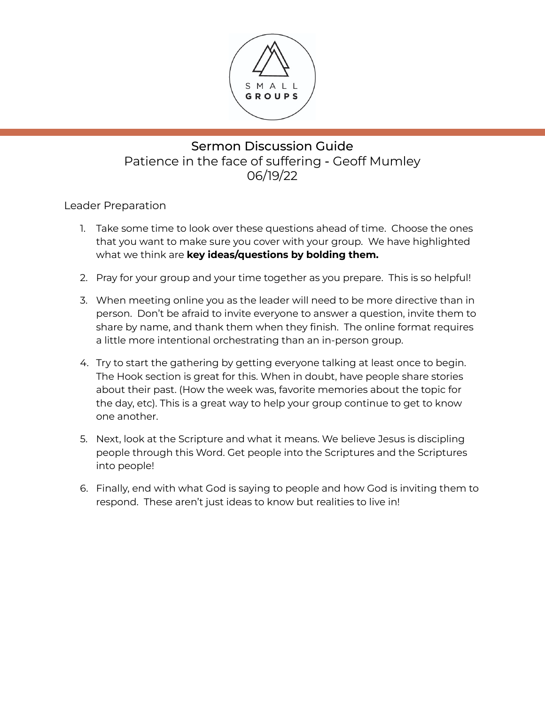

### Sermon Discussion Guide Patience in the face of suffering - Geoff Mumley 06/19/22

Leader Preparation

- 1. Take some time to look over these questions ahead of time. Choose the ones that you want to make sure you cover with your group. We have highlighted what we think are **key ideas/questions by bolding them.**
- 2. Pray for your group and your time together as you prepare. This is so helpful!
- 3. When meeting online you as the leader will need to be more directive than in person. Don't be afraid to invite everyone to answer a question, invite them to share by name, and thank them when they finish. The online format requires a little more intentional orchestrating than an in-person group.
- 4. Try to start the gathering by getting everyone talking at least once to begin. The Hook section is great for this. When in doubt, have people share stories about their past. (How the week was, favorite memories about the topic for the day, etc). This is a great way to help your group continue to get to know one another.
- 5. Next, look at the Scripture and what it means. We believe Jesus is discipling people through this Word. Get people into the Scriptures and the Scriptures into people!
- 6. Finally, end with what God is saying to people and how God is inviting them to respond. These aren't just ideas to know but realities to live in!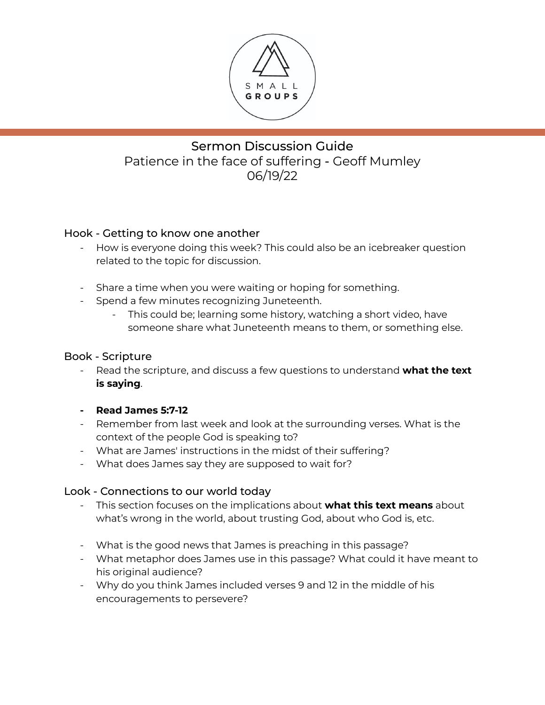

# Sermon Discussion Guide Patience in the face of suffering - Geoff Mumley 06/19/22

### Hook - Getting to know one another

- How is everyone doing this week? This could also be an icebreaker question related to the topic for discussion.
- Share a time when you were waiting or hoping for something.
- Spend a few minutes recognizing Juneteenth.
	- This could be; learning some history, watching a short video, have someone share what Juneteenth means to them, or something else.

#### Book - Scripture

- Read the scripture, and discuss a few questions to understand **what the text is saying**.
- **- Read James 5:7-12**
- Remember from last week and look at the surrounding verses. What is the context of the people God is speaking to?
- What are James' instructions in the midst of their suffering?
- What does James say they are supposed to wait for?

#### Look - Connections to our world today

- This section focuses on the implications about **what this text means** about what's wrong in the world, about trusting God, about who God is, etc.
- What is the good news that James is preaching in this passage?
- What metaphor does James use in this passage? What could it have meant to his original audience?
- Why do you think James included verses 9 and 12 in the middle of his encouragements to persevere?